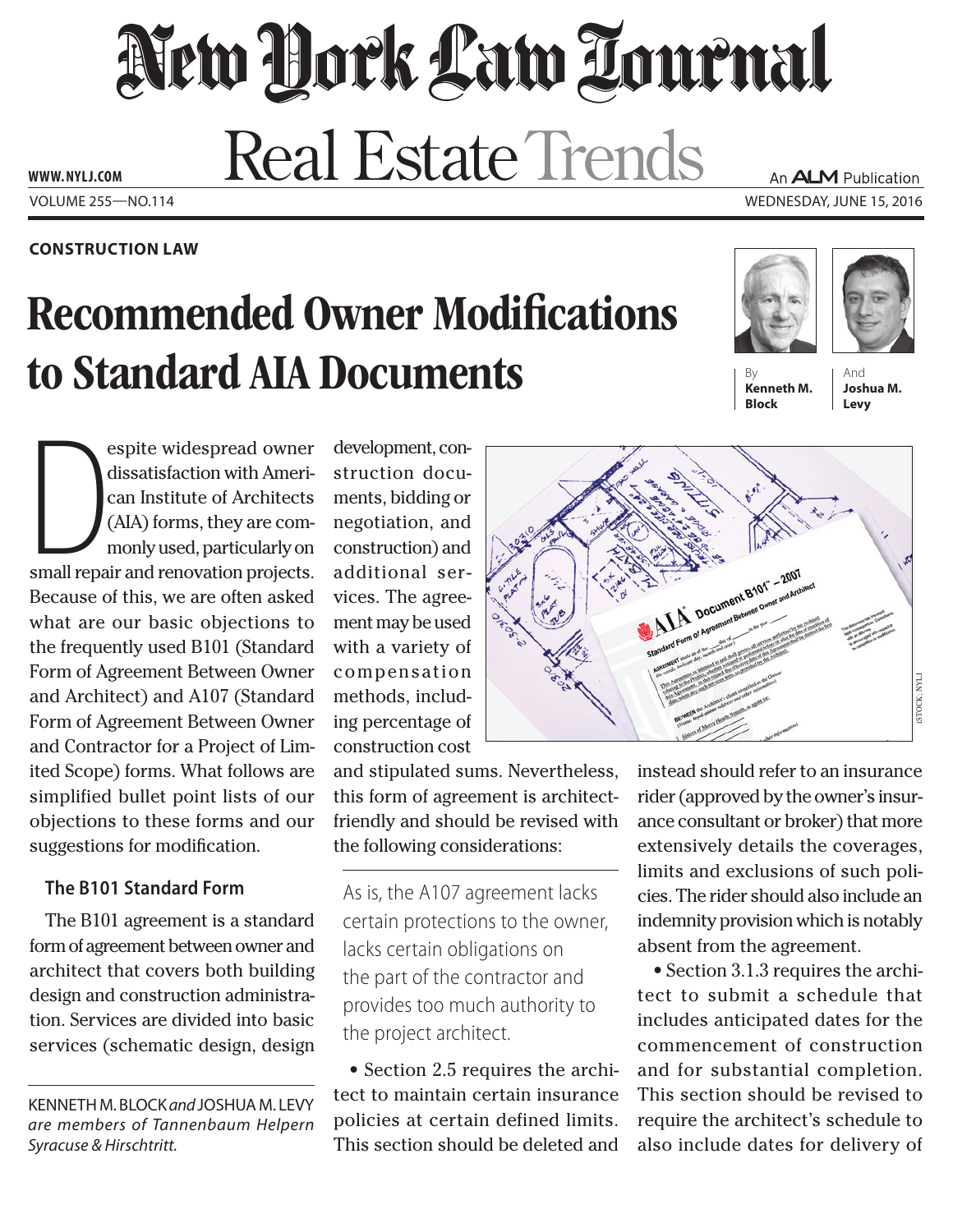# New Dock Law Louenal **Real Estate Trends** An ALM Publication **www. NYLJ.com**

## **Construction Law**

# Recommended Owner Modifications to Standard AIA Documents

Volume 255—NO.114 Wednesday, June 15, 2016





**Kenneth M. Block**

And **Joshua M. Levy**

espite widespread owner<br>dissatisfaction with Ameri-<br>can Institute of Architects<br>(AIA) forms, they are com-<br>monly used, particularly on<br>small repair and renovation projects. espite widespread owner dissatisfaction with American Institute of Architects (AIA) forms, they are commonly used, particularly on Because of this, we are often asked what are our basic objections to the frequently used B101 (Standard Form of Agreement Between Owner and Architect) and A107 (Standard Form of Agreement Between Owner and Contractor for a Project of Limited Scope) forms. What follows are simplified bullet point lists of our objections to these forms and our suggestions for modification.

# **The B101 Standard Form**

The B101 agreement is a standard form of agreement between owner and architect that covers both building design and construction administration. Services are divided into basic services (schematic design, design

Kenneth M. Block *and* Joshua M. Levy *are members of Tannenbaum Helpern Syracuse & Hirschtritt.*

development, construction documents, bidding or negotiation, and construction) and additional services. The agreement may be used with a variety of compensation methods, including percentage of construction cost

and stipulated sums. Nevertheless, this form of agreement is architectfriendly and should be revised with the following considerations:

As is, the A107 agreement lacks certain protections to the owner, lacks certain obligations on the part of the contractor and provides too much authority to the project architect.

• Section 2.5 requires the architect to maintain certain insurance policies at certain defined limits. This section should be deleted and



instead should refer to an insurance rider (approved by the owner's insurance consultant or broker) that more extensively details the coverages, limits and exclusions of such policies. The rider should also include an indemnity provision which is notably absent from the agreement.

• Section 3.1.3 requires the architect to submit a schedule that includes anticipated dates for the commencement of construction and for substantial completion. This section should be revised to require the architect's schedule to also include dates for delivery of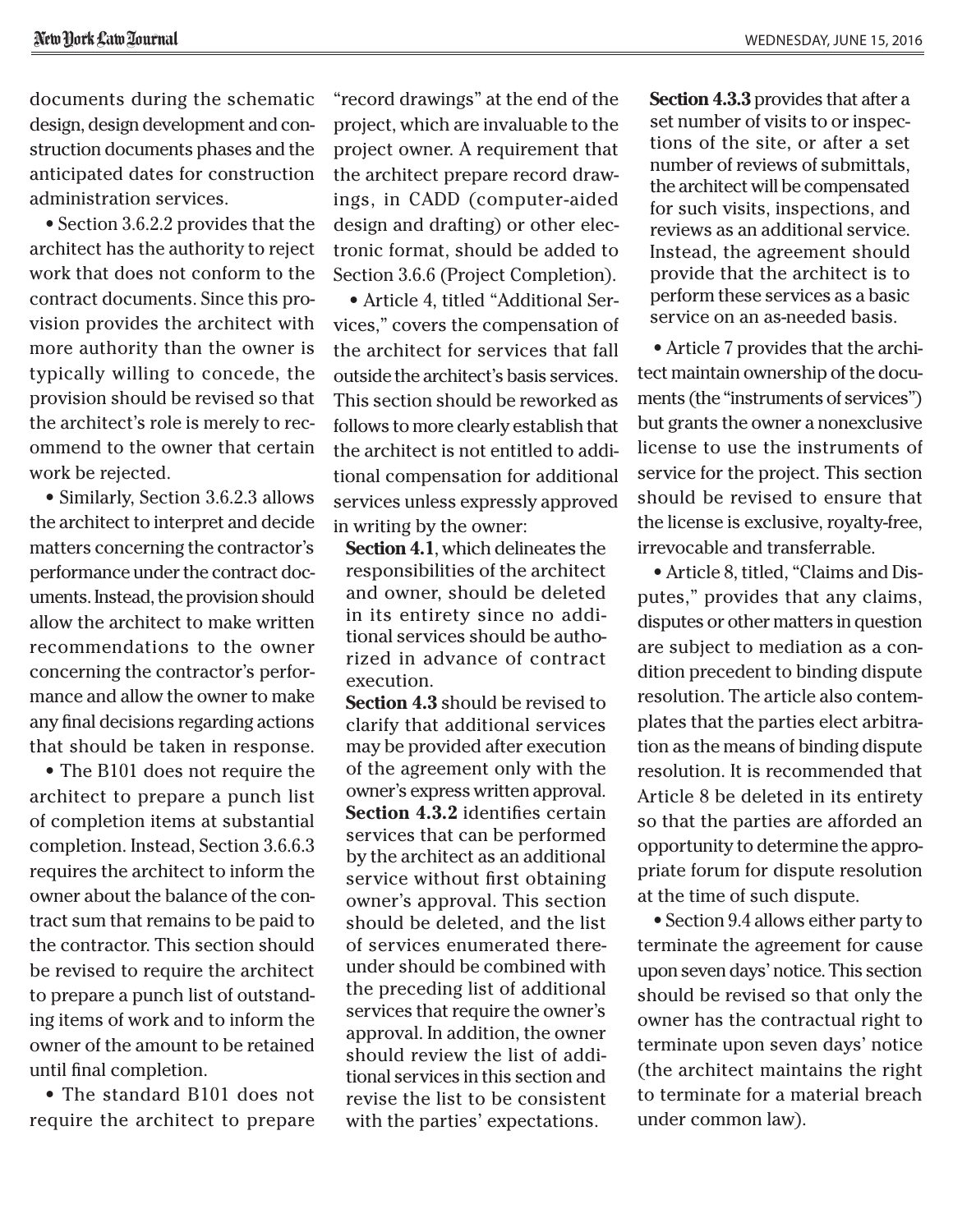documents during the schematic design, design development and construction documents phases and the anticipated dates for construction administration services.

• Section 3.6.2.2 provides that the architect has the authority to reject work that does not conform to the contract documents. Since this provision provides the architect with more authority than the owner is typically willing to concede, the provision should be revised so that the architect's role is merely to recommend to the owner that certain work be rejected.

• Similarly, Section 3.6.2.3 allows the architect to interpret and decide matters concerning the contractor's performance under the contract documents. Instead, the provision should allow the architect to make written recommendations to the owner concerning the contractor's performance and allow the owner to make any final decisions regarding actions that should be taken in response.

• The B101 does not require the architect to prepare a punch list of completion items at substantial completion. Instead, Section 3.6.6.3 requires the architect to inform the owner about the balance of the contract sum that remains to be paid to the contractor. This section should be revised to require the architect to prepare a punch list of outstanding items of work and to inform the owner of the amount to be retained until final completion.

• The standard B101 does not require the architect to prepare "record drawings" at the end of the project, which are invaluable to the project owner. A requirement that the architect prepare record drawings, in CADD (computer-aided design and drafting) or other electronic format, should be added to Section 3.6.6 (Project Completion).

• Article 4, titled "Additional Services," covers the compensation of the architect for services that fall outside the architect's basis services. This section should be reworked as follows to more clearly establish that the architect is not entitled to additional compensation for additional services unless expressly approved in writing by the owner:

**Section 4.1**, which delineates the responsibilities of the architect and owner, should be deleted in its entirety since no additional services should be authorized in advance of contract execution.

**Section 4.3** should be revised to clarify that additional services may be provided after execution of the agreement only with the owner's express written approval. **Section 4.3.2** identifies certain services that can be performed by the architect as an additional service without first obtaining owner's approval. This section should be deleted, and the list of services enumerated thereunder should be combined with the preceding list of additional services that require the owner's approval. In addition, the owner should review the list of additional services in this section and revise the list to be consistent with the parties' expectations.

**Section 4.3.3** provides that after a set number of visits to or inspections of the site, or after a set number of reviews of submittals, the architect will be compensated for such visits, inspections, and reviews as an additional service. Instead, the agreement should provide that the architect is to perform these services as a basic service on an as-needed basis.

• Article 7 provides that the architect maintain ownership of the documents (the "instruments of services") but grants the owner a nonexclusive license to use the instruments of service for the project. This section should be revised to ensure that the license is exclusive, royalty-free, irrevocable and transferrable.

• Article 8, titled, "Claims and Disputes," provides that any claims, disputes or other matters in question are subject to mediation as a condition precedent to binding dispute resolution. The article also contemplates that the parties elect arbitration as the means of binding dispute resolution. It is recommended that Article 8 be deleted in its entirety so that the parties are afforded an opportunity to determine the appropriate forum for dispute resolution at the time of such dispute.

• Section 9.4 allows either party to terminate the agreement for cause upon seven days' notice. This section should be revised so that only the owner has the contractual right to terminate upon seven days' notice (the architect maintains the right to terminate for a material breach under common law).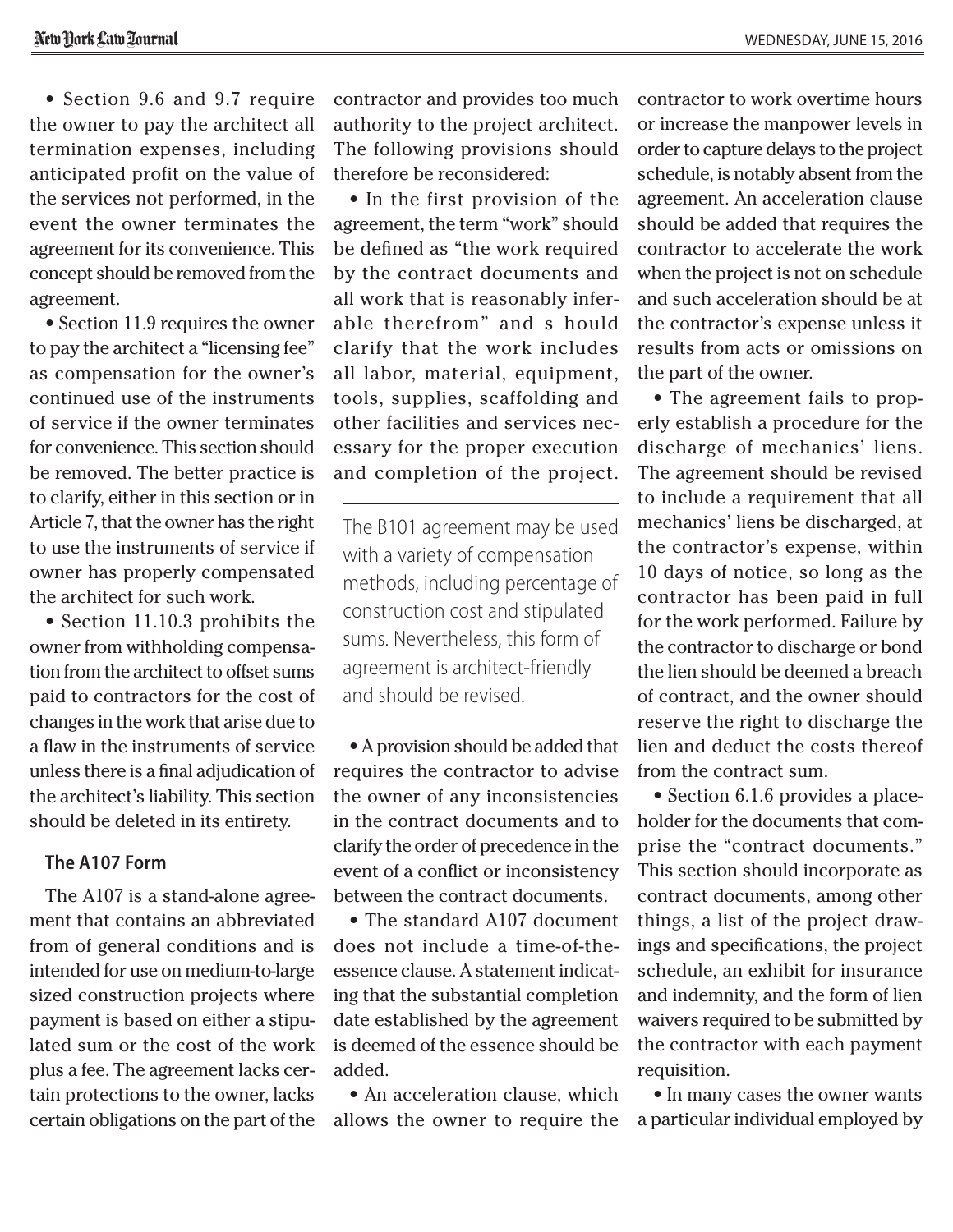• Section 9.6 and 9.7 require the owner to pay the architect all termination expenses, including anticipated profit on the value of the services not performed, in the event the owner terminates the agreement for its convenience. This concept should be removed from the agreement.

• Section 11.9 requires the owner to pay the architect a "licensing fee" as compensation for the owner's continued use of the instruments of service if the owner terminates for convenience. This section should be removed. The better practice is to clarify, either in this section or in Article 7, that the owner has the right to use the instruments of service if owner has properly compensated the architect for such work.

• Section 11.10.3 prohibits the owner from withholding compensation from the architect to offset sums paid to contractors for the cost of changes in the work that arise due to a flaw in the instruments of service unless there is a final adjudication of the architect's liability. This section should be deleted in its entirety.

#### **The A107 Form**

The A107 is a stand-alone agreement that contains an abbreviated from of general conditions and is intended for use on medium-to-large sized construction projects where payment is based on either a stipulated sum or the cost of the work plus a fee. The agreement lacks certain protections to the owner, lacks certain obligations on the part of the contractor and provides too much authority to the project architect. The following provisions should therefore be reconsidered:

• In the first provision of the agreement, the term "work" should be defined as "the work required by the contract documents and all work that is reasonably inferable therefrom" and s hould clarify that the work includes all labor, material, equipment, tools, supplies, scaffolding and other facilities and services necessary for the proper execution and completion of the project.

The B101 agreement may be used with a variety of compensation methods, including percentage of construction cost and stipulated sums. Nevertheless, this form of agreement is architect-friendly and should be revised.

• A provision should be added that requires the contractor to advise the owner of any inconsistencies in the contract documents and to clarify the order of precedence in the event of a conflict or inconsistency between the contract documents.

• The standard A107 document does not include a time-of-theessence clause. A statement indicating that the substantial completion date established by the agreement is deemed of the essence should be added.

• An acceleration clause, which allows the owner to require the contractor to work overtime hours or increase the manpower levels in order to capture delays to the project schedule, is notably absent from the agreement. An acceleration clause should be added that requires the contractor to accelerate the work when the project is not on schedule and such acceleration should be at the contractor's expense unless it results from acts or omissions on the part of the owner.

• The agreement fails to properly establish a procedure for the discharge of mechanics' liens. The agreement should be revised to include a requirement that all mechanics' liens be discharged, at the contractor's expense, within 10 days of notice, so long as the contractor has been paid in full for the work performed. Failure by the contractor to discharge or bond the lien should be deemed a breach of contract, and the owner should reserve the right to discharge the lien and deduct the costs thereof from the contract sum.

• Section 6.1.6 provides a placeholder for the documents that comprise the "contract documents." This section should incorporate as contract documents, among other things, a list of the project drawings and specifications, the project schedule, an exhibit for insurance and indemnity, and the form of lien waivers required to be submitted by the contractor with each payment requisition.

• In many cases the owner wants a particular individual employed by